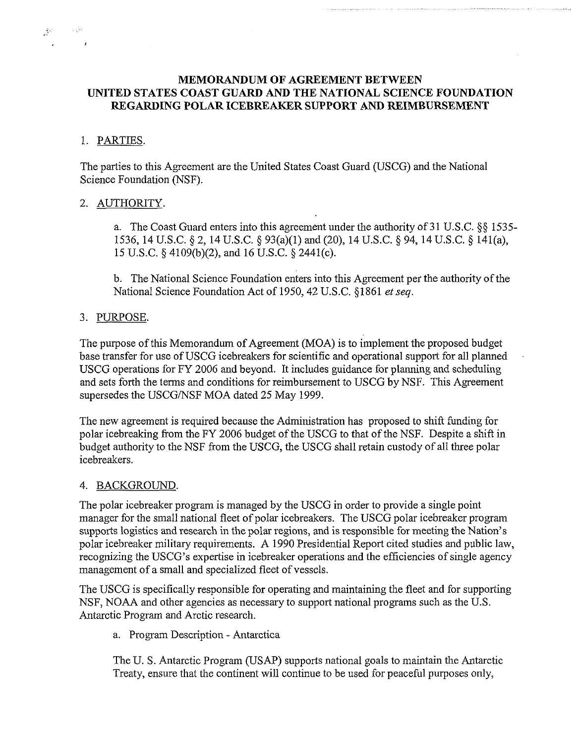# **MEMORANDUM OF AGREEMENT BETWEEN UNITED STATES COAST GUARD AND THE NATIONAL SCIENCE FOUNDATION REGARDING POLAR ICEBREAKER SUPPORT AND REIMBURSEMENT**

# 1. PARTIES.

 $\frac{1}{2} \mathbf{v}^2 = \mathbf{v}^2 + \mathbf{v}^2$ 

The parties to this Agreement are the United States Coast Guard (USCG) and the National Science Foundation (NSF).

# 2. AUTHORITY.

a. The Coast Guard enters into this agreement under the authority of 31 U.S.C. \$\$ 1535- 1536, 14U.S.C. \$2, 14U.S.C. *5* 93(a)(l)and(20), 14U.S.C. \$94, 14U.S.C. \$ 141(a), 15 U.S.C. *5* 4109(b)(2), and 16 U.S.C. *5* 2441(c).

b. The National Science Foundation enters into this Agreement per the authority of the National Science Foundation Act of 1950,42 U.S.C. \$1861 *et seq.* 

# 3. PURPOSE.

The purpose of this Memorandum of Agreement (MOA) is to implement the proposed budget base transfer for use of USCG icebreakers for scientific and operational support for all planned USCG operations for FY 2006 and beyond. It includes guidance for planning and scheduling and sets forth the terms and conditions for reimbursement to USCG by NSF. This Agreement supersedes the USCG/NSF MOA dated 25 May 1999.

The new agreement is required because the Administration has proposed to shift funding for polar icebreaking from the FY 2006 budget of the USCG to that of the NSF. Despite a shift in budget authority to the NSF from the USCG, the USCG shall retain custody of all three polar icebreakers.

## 4. BACKGROUND.

The polar icebreaker program is managed by the USCG in order to provide a single point manager for the small national fleet of polar icebreakers. The USCG polar icebreaker program supports logistics and research in the polar regions, and is responsible for meeting the Nation's polar icebreaker military requirements. A 1990 Presidential Report cited studies and public law, recognizing the USCG's expertise in icebreaker operations and the efficiencies of single agency management of a small and specialized fleet of vessels.

The USCG is specifically responsible for operating and maintaining the fleet and for supporting NSF, NOAA and other agencies as necessary to support national programs such as the U.S. Antarctic Program and Arctic research.

a. Program Description - Antarctica

The U. S. Antarctic Program (USAP) supports national goals to maintain the Antarctic Treaty, ensure that the continent will continue to be used for peaceful purposes only,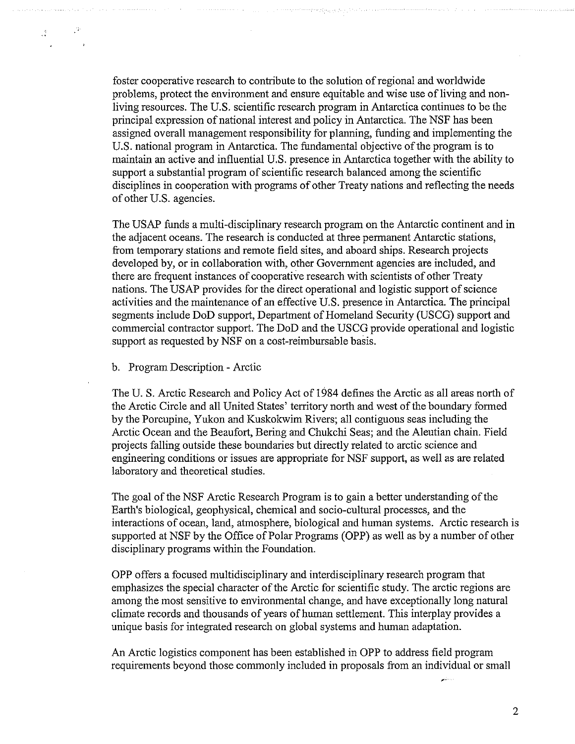foster cooperative research to contribute to the solution of regional and worldwide problems, protect the environment and ensure equitable and wise use of living and nonliving resources. The US. scientific research program in Antarctica continues to be the principal expression of national interest and policy in Antarctica. The NSF has been assigned overall management responsibility for planning, funding and implementing the U.S. national program in Antarctica. The fimdamental objective of the program is to maintain an active and influential US. presence in Antarctica together with the ability to support a substantial program of scientific research balanced among the scientific disciplines in cooperation with programs of other Treaty nations and reflecting the needs of other U.S. agencies.

The USAP fimds a multi-disciplinary research program on the Antarctic continent and in the adiacent oceans. The research is conducted at three oermanent Antarctic stations. from temporary stations and remote field sites, and aboard ships. Research projects developed by, or in collaboration with, other Government agencies are included, and there are frequent instances of cooperative research with scientists of other Treaty nations. The USAP provides for the direct operational and logistic support of science activities and the maintenance of an effective U.S. oresence in Antarctica. The orincioal segments include DoD support, Department of Homeland Security (USCG) support and commercial contractor support. The DoD and the USCG provide operational and logistic support as requested by NSF on a cost-reimbursable basis.

b. Program Description - Arctic

 $\sim 10^6$ 

 $\mathcal{L}^{\otimes n}$ 

The U. S. Arctic Research and Policy Act of 1984 defines the Arctic as all areas north of the Arctic Circle and all United States' territory north and west of the boundary formed by the Porcupine, Yukon and Kuskokwim Rivers; all contiguous seas including the Arctic Ocean and the Beaufort, Bering and Chukchi Seas; and the Aleutian chain. Field projects falling outside these boundaries but directly related to arctic science and engineering conditions or issues are appropriate for NSF support, as well as are related laboratory and theoretical studies.

The goal of the NSF Arctic Research Program is to gain a better understanding of the Earth's biological, geophysical, chemical and socio-cultural processes, and the interactions of ocean, land, atmosphere, biological and human systems. Arctic research is supported at NSF by the Office of Polar Programs (OPP) as well as by a number of other disciplinary programs within the Foundation.

OPP offers a focused multidisciplinary and interdisciplinary research program that emphasizes the special character of the Arctic for scientific study. The arctic regions are among the most sensitive to environmental change, and have exceptionally long natural climate records and thousands of years of human settlement. This interplay provides a unique basis for integrated research on global systems and human adaptation.

An Arctic logistics component has been established in OPP to address field program requirements beyond those commonly included in proposals from an individual or small

 $\overline{2}$ 

\*.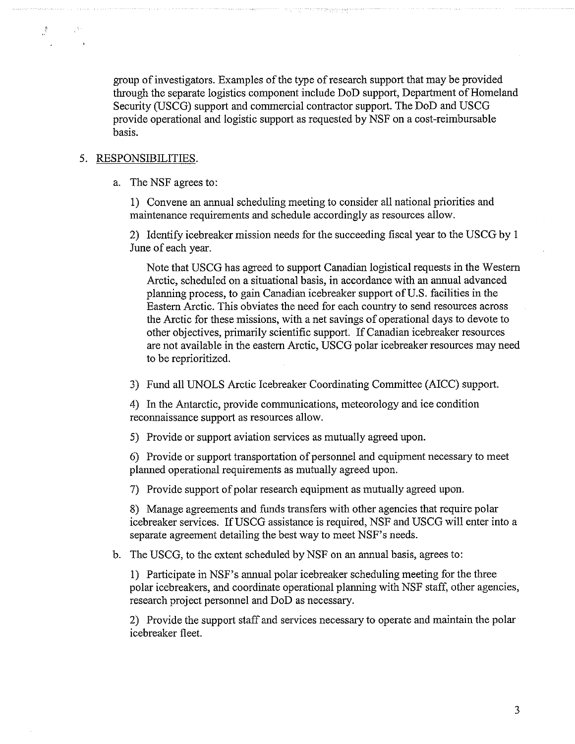group of investigators. Examples of the type of research support that may be provided through the separate logistics component include DoD support, Department of Homeland Security (USCG) support and commercial contractor support. The DoD and USCG provide operational and logistic support as requested by NSF on a cost-reimbursable basis.

#### 5. RESPONSIBILITIES.

 $\mathcal{L}_{\mathcal{D}}$ 

a. The NSF agrees to:

1) Convene an annual scheduling meeting to consider all national priorities and maintenance requirements and schedule accordingly as resources allow.

2) Identify icebreaker mission needs for the succeeding fiscal year to the USCG by 1 June of each year.

Note that USCG has agreed to support Canadian logistical requests in the Western Arctic, scheduled on a situational basis, in accordance with an annual advanced planning process, to gain Canadian icebreaker support of U.S. facilities in the Eastern Arctic. This obviates the need for each country to send resources across the Arctic for these missions, with a net savings of operational days to devote to other objectives, primarily scientific support. If Canadian icebreaker resources are not available in the eastern Arctic, USCG polar icebreaker resources may need to be reprioritized.

3) Fund all UNOLS Arctic Icebreaker Coordinating Committee (AICC) support.

4) In the Antarctic, provide communications, meteorology and ice condition reconnaissance support as resources allow.

5) Provide or support aviation services as mutually agreed upon.

*6)* Provide or support transportation of personnel and equipment necessary to meet planned operational requirements as mutually agreed upon.

7) Provide support of polar research equipment as mutually agreed upon

8) Manage agreements and funds transfers with other agencies that require polar icebreaker services. If USCG assistance is required, NSF and USCG will enter into a separate agreement detailing the best way to meet NSF's needs.

b. The USCG, to the extent scheduled by NSF on an annual basis, agrees to:

1) Participate in NSF's annual polar icebreaker scheduling meeting for the three polar icebreakers, and coordinate operational planning with NSF staff, other agencies, research project personnel and DoD as necessary.

2) Provide the support staff and services necessary to operate and maintain the polar icebreaker fleet.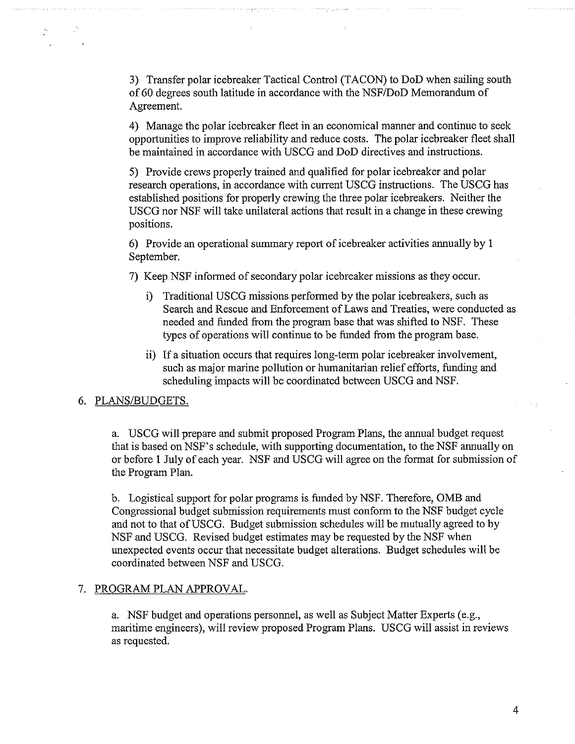**3)** Transfer polar icebreaker Tactical Control (TACON) to DoD when sailing south of 60 degrees south latitude in accordance with the NSF/DoD Memorandum of Agreement.

4) Manage the polar icebreaker fleet in an economical manner and continue to seek opportunities to improve reliability and reduce costs. The polar icebreaker fleet shall be maintained in accordance with USCG and DoD directives and instructions.

5) Provide crews properly trained and qualified for polar icebreaker and polar research operations, in accordance with current USCG instructions. The USCG has established positions for properly crewing the three polar icebreakers. Neither the USCG nor NSF will take unilateral actions that result in a change in these crewing positions.

6) Provide an operational summary report of icebreaker activities annually by 1 September.

7) Keep NSF informed of secondary polar icebreaker missions as they occur.

- i) Traditional USCG missions performed by the polar icebreakers, such as Search and Rescue and Enforcement of Laws and Treaties, were conducted as needed and funded from the program base that was shifted to NSF. These types of operations will continue to be funded from the program base.
- ii) If a situation occurs that requires long-term polar icebreaker involvement, such as major marine pollution or humanitarian relief efforts, funding and scheduling impacts will be coordinated between USCG and NSF.

# 6. PLANS/BUDGETS.

a. USCG will prepare and submit proposed Program Plans, the annual budget request that is based on NSF's schedule, with supporting documentation, to the NSF annually on or before 1 July of each year. NSF and USCG will agree on the format for submission of the Program Plan.

b. Logistical support for polar programs is funded by NSF. Therefore, OMB and Congressional budget submission requirements must conform to the NSF budget cycle and not to that of USCG. Budget submission schedules will be mutually agreed to by NSF and USCG. Revised budget estimates may be requested by the NSF when unexpected events occur that necessitate budget alterations. Budget schedules will be coordinated between NSF and USCG.

## 7. PROGRAM PLAN APPROVAL.

a. NSF budget and operations personnel, as well as Subject Matter Experts (e.g., maritime engineers), will review proposed Program Plans. USCG will assist in reviews as requested.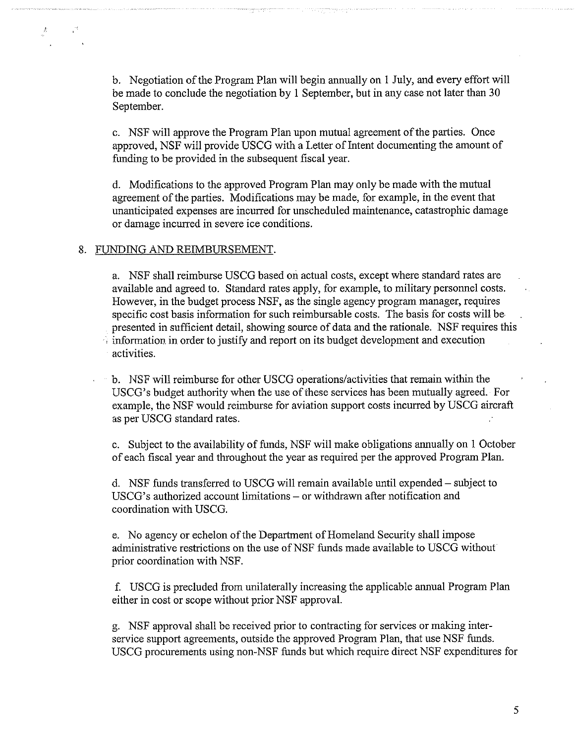b. Negotiation of the Program Plan will begin annually on 1 July, and every effort will be made to conclude the negotiation by 1 September, but in any case not later than 30 September.

c. NSF will approve the Program Plan upon mutual agreement of the parties. Once approved, NSF will provide USCG with a Letter of Intent documenting the amount of funding to be provided in the subsequent fiscal year.

d. Modifications to the approved Program Plan may only be made with the mutual agreement of the parties. Modifications may be made, for example, in the event that unanticipated expenses are incurred for unscheduled maintenance, catastrophic damage or damage incurred in severe ice conditions.

#### 8. FUNDING AND REIMBURSEMENT.

Â

a. NSF shall reimburse USCG based on actual costs, except where standard rates are available and agreed to. Standard rates apply, for example, to military personnel costs. However, in the budget process NSF, as the single agency program manager, requires specific cost basis information for such reimbursable costs. The basis for costs will be presented in sufficient detail, showing source of data and the rationale. NSF requires this  $\alpha$  information in order to justify and report on its budget development and execution activilies.

b. NSF will reimburse for other USCG operations/activities that remain within the USCG's budget authority when the use of rhese services has been mutually agreed. For example, the NSF would reimburse for aviation support costs incurred by USCG aircraft as per USCG standard rates.

c. Subject to the availability of funds, NSF will make obligations annually on 1 October of each fiscal year and throughout the year as required per the approved Program Plan.

d. NSF funds transferred to USCG will remain available until expended – subject to USCG's authorized account limitations – or withdrawn after notification and coordination with USCG.

e. No agency or echelon of the Department of Homeland Security shall impose administrative restrictions on the use of NSF funds made available to USCG without prior coordination with NSF.

f. USCG is precluded from unilaterally increasing the applicable annual Program Plan either in cost or scope without prior NSF approval.

g. NSF approval shall be received prior to contracting for services or making interservice support agreements, outside the approved Program Plan, that use NSF funds. USCG procurements using non-NSF funds but which require direct NSF expenditures for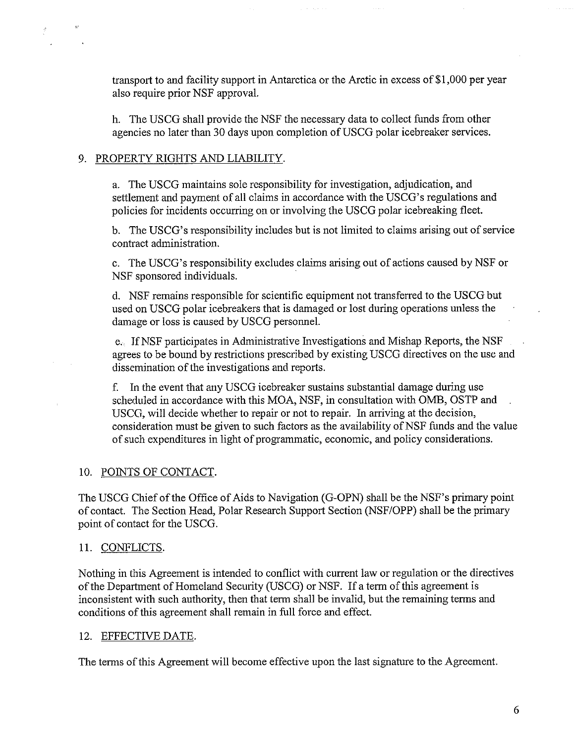transport to and facility support in Antarctica or the Arctic in excess of \$1,000 per year also require prior NSF approval.

h. The USCG shall provide the NSF the necessary data to collect funds from other agencies no later than 30 days upon completion of USCG polar icebreaker services.

# 9. PROPERTY RIGHTS AND LIABILITY.

a. The USCG maintains sole responsibility for investigation, adjudication, and settlement and payment of all claims in accordance with the USCG's regulations and policies for incidents occurring on or involving the USCG polar icebreaking fleet.

b. The USCG's responsibility includes but is not limited to claims arising out of service contract administration.

c. The USCG's responsibility excludes claims arising out of actions caused by NSF or NSF sponsored individuals.

d. NSF remains responsible for scientific equipment not transferred to the USCG but used on USCG polar icebreakers that is damaged or lost during operations unless the damage or loss is caused by USCG personnel.

e. If NSF participates in Administrative Investigations and Mishap Reports, the NSF agrees to be bound by restrictions prescribed by existing USCG directives on the use and dissemination of the investigations and reports.

f. In the event that any USCG icebreaker sustains substantial damage during use scheduled in accordance with this MOA, NSF, in consultation with OMB, OSTP and USCG, will decide whether to repair or not to repair. In arriving at the decision, consideration must be given to such factors as the availability of NSF funds and the value of such expenditures in light of programmatic, economic, and policy considerations.

# 10. POINTS OF CONTACT.

The USCG Chief of the Office of Aids to Navigation (G-OPN) shall be the NSF's primary point of contact. The Section Head, Polar Research Support Section (NSF/OPP) shall be the primary point of contact for the USCG.

# 11. CONFLICTS.

Nothing in this Agreement is intended to conflict with current law or regulation or the directives of the Department of Homeland Security (USCG) or NSF. If a term of this agreement is inconsistent with such authority, then that term shall be invalid, but the remaining terms and conditions of this agreement shall remain in full force and effect.

# 12. EFFECTIVE DATE.

The terms of this Agreement will become effective upon the last signature to the Agreement.